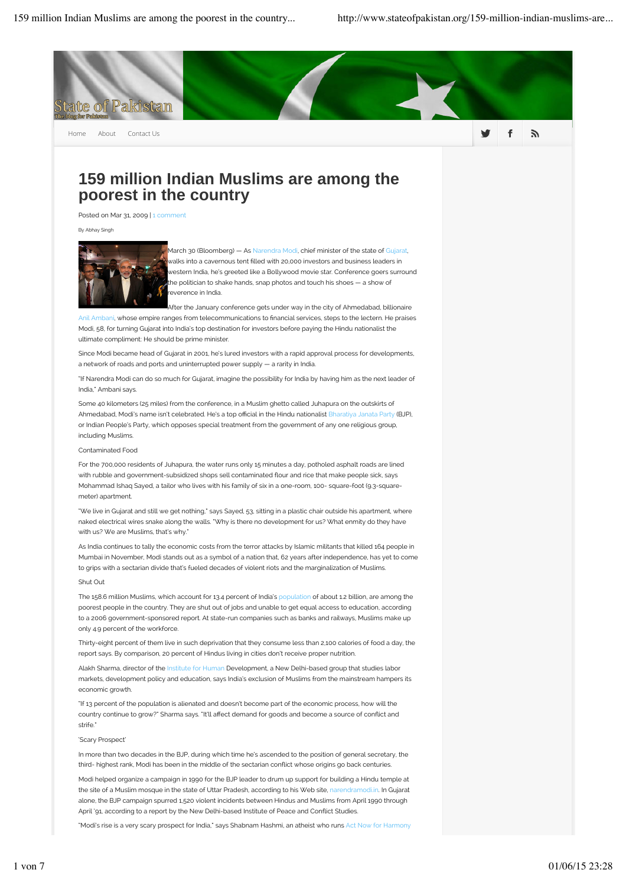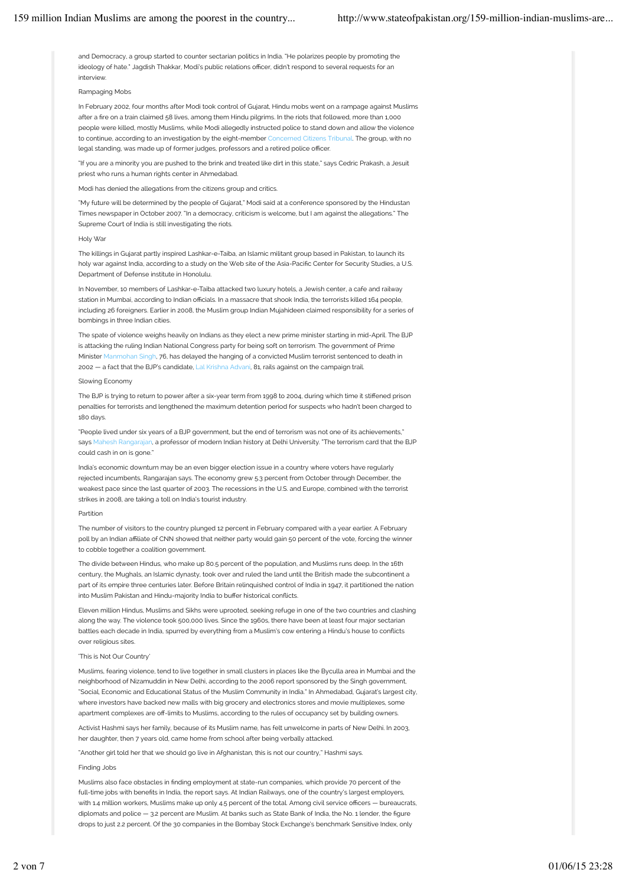and Democracy, a group started to counter sectarian politics in India. "He polarizes people by promoting the ideology of hate." Jagdish Thakkar, Modi's public relations officer, didn't respond to several requests for an interview.

## Rampaging Mobs

In February 2002, four months after Modi took control of Gujarat, Hindu mobs went on a rampage against Muslims after a fre on a train claimed 58 lives, among them Hindu pilgrims. In the riots that followed, more than 1,000 people were killed, mostly Muslims, while Modi allegedly instructed police to stand down and allow the violence to continue, according to an investigation by the eight-member Concerned Citizens Tribunal. The group, with no legal standing, was made up of former judges, professors and a retired police officer.

"If you are a minority you are pushed to the brink and treated like dirt in this state," says Cedric Prakash, a Jesuit priest who runs a human rights center in Ahmedabad.

Modi has denied the allegations from the citizens group and critics.

"My future will be determined by the people of Gujarat," Modi said at a conference sponsored by the Hindustan Times newspaper in October 2007. "In a democracy, criticism is welcome, but I am against the allegations." The Supreme Court of India is still investigating the riots.

## Holy War

The killings in Gujarat partly inspired Lashkar-e-Taiba, an Islamic militant group based in Pakistan, to launch its holy war against India, according to a study on the Web site of the Asia-Pacifc Center for Security Studies, a U.S. Department of Defense institute in Honolulu.

In November, 10 members of Lashkar-e-Taiba attacked two luxury hotels, a Jewish center, a cafe and railway station in Mumbai, according to Indian officials. In a massacre that shook India, the terrorists killed 164 people including 26 foreigners. Earlier in 2008, the Muslim group Indian Mujahideen claimed responsibility for a series of bombings in three Indian cities.

The spate of violence weighs heavily on Indians as they elect a new prime minister starting in mid-April. The BJP is attacking the ruling Indian National Congress party for being soft on terrorism. The government of Prime Minister Manmohan Singh, 76, has delayed the hanging of a convicted Muslim terrorist sentenced to death in 2002 — a fact that the BJP's candidate, Lal Krishna Advani, 81, rails against on the campaign trail.

## Slowing Economy

The BJP is trying to return to power after a six-year term from 1998 to 2004, during which time it stifened prison penalties for terrorists and lengthened the maximum detention period for suspects who hadn't been charged to 180 days.

"People lived under six years of a BJP government, but the end of terrorism was not one of its achievements," says Mahesh Rangarajan, a professor of modern Indian history at Delhi University. "The terrorism card that the BJP could cash in on is gone."

India's economic downturn may be an even bigger election issue in a country where voters have regularly rejected incumbents, Rangarajan says. The economy grew 5.3 percent from October through December, the weakest pace since the last quarter of 2003. The recessions in the U.S. and Europe, combined with the terrorist strikes in 2008, are taking a toll on India's tourist industry.

## Partition

The number of visitors to the country plunged 12 percent in February compared with a year earlier. A February poll by an Indian afliate of CNN showed that neither party would gain 50 percent of the vote, forcing the winner to cobble together a coalition government.

The divide between Hindus, who make up 80.5 percent of the population, and Muslims runs deep. In the 16th century, the Mughals, an Islamic dynasty, took over and ruled the land until the British made the subcontinent a part of its empire three centuries later. Before Britain relinquished control of India in 1947, it partitioned the nation into Muslim Pakistan and Hindu-majority India to bufer historical conficts.

Eleven million Hindus, Muslims and Sikhs were uprooted, seeking refuge in one of the two countries and clashing along the way. The violence took 500,000 lives. Since the 1960s, there have been at least four major sectarian battles each decade in India, spurred by everything from a Muslim's cow entering a Hindu's house to conficts over religious sites

## 'This is Not Our Country'

Muslims, fearing violence, tend to live together in small clusters in places like the Byculla area in Mumbai and the neighborhood of Nizamuddin in New Delhi, according to the 2006 report sponsored by the Singh government, "Social, Economic and Educational Status of the Muslim Community in India." In Ahmedabad, Gujarat's largest city, where investors have backed new malls with big grocery and electronics stores and movie multiplexes, some apartment complexes are off-limits to Muslims, according to the rules of occupancy set by building owners.

Activist Hashmi says her family, because of its Muslim name, has felt unwelcome in parts of New Delhi. In 2003, her daughter, then 7 years old, came home from school after being verbally attacked.

"Another girl told her that we should go live in Afghanistan, this is not our country," Hashmi says.

# Finding Jobs

Muslims also face obstacles in fnding employment at state-run companies, which provide 70 percent of the full-time jobs with benefts in India, the report says. At Indian Railways, one of the country's largest employers, with 1.4 million workers, Muslims make up only 4.5 percent of the total. Among civil service officers - bureaucrats, diplomats and police — 3.2 percent are Muslim. At banks such as State Bank of India, the No. 1 lender, the figure drops to just 2.2 percent. Of the 30 companies in the Bombay Stock Exchange's benchmark Sensitive Index, only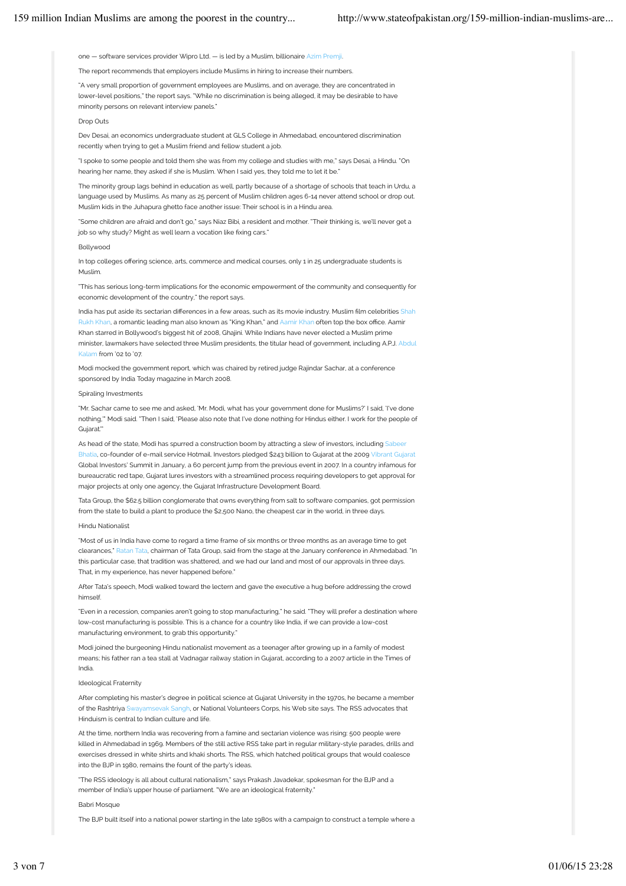one — software services provider Wipro Ltd. — is led by a Muslim, billionaire Azim Premji.

The report recommends that employers include Muslims in hiring to increase their numbers.

"A very small proportion of government employees are Muslims, and on average, they are concentrated in lower-level positions," the report says. "While no discrimination is being alleged, it may be desirable to have minority persons on relevant interview panels."

# Drop Outs

Dev Desai, an economics undergraduate student at GLS College in Ahmedabad, encountered discrimination recently when trying to get a Muslim friend and fellow student a job.

"I spoke to some people and told them she was from my college and studies with me," says Desai, a Hindu. "On hearing her name, they asked if she is Muslim. When I said yes, they told me to let it be.

The minority group lags behind in education as well, partly because of a shortage of schools that teach in Urdu, a language used by Muslims. As many as 25 percent of Muslim children ages 6-14 never attend school or drop out. Muslim kids in the Juhapura ghetto face another issue: Their school is in a Hindu area.

"Some children are afraid and don't go," says Niaz Bibi, a resident and mother. "Their thinking is, we'll never get a job so why study? Might as well learn a vocation like fixing cars."

#### Bollywood

In top colleges offering science, arts, commerce and medical courses, only 1 in 25 undergraduate students is Muslim.

"This has serious long-term implications for the economic empowerment of the community and consequently for economic development of the country," the report says.

India has put aside its sectarian differences in a few areas, such as its movie industry. Muslim film celebrities Shah Rukh Khan, a romantic leading man also known as "King Khan," and Aamir Khan often top the box office. Aamir Khan starred in Bollywood's biggest hit of 2008, Ghajini. While Indians have never elected a Muslim prime minister, lawmakers have selected three Muslim presidents, the titular head of government, including A.P.J. Abdul m from '02 to '07

Modi mocked the government report, which was chaired by retired judge Rajindar Sachar, at a conference sponsored by India Today magazine in March 2008.

#### Spiraling Investments

"Mr. Sachar came to see me and asked, 'Mr. Modi, what has your government done for Muslims?' I said, 'I've done nothing,'" Modi said. "Then I said, 'Please also note that I've done nothing for Hindus either. I work for the people of Gujarat.'"

As head of the state, Modi has spurred a construction boom by attracting a slew of investors, including Sabe Bhatia, co-founder of e-mail service Hotmail. Investors pledged \$243 billion to Gujarat at the 2009 Vibrant Gujarat Global Investors' Summit in January, a 60 percent jump from the previous event in 2007. In a country infamous for bureaucratic red tape, Gujarat lures investors with a streamlined process requiring developers to get approval for major projects at only one agency, the Gujarat Infrastructure Development Board.

Tata Group, the \$62.5 billion conglomerate that owns everything from salt to software companies, got permission from the state to build a plant to produce the \$2,500 Nano, the cheapest car in the world, in three days.

## Hindu Nationalist

"Most of us in India have come to regard a time frame of six months or three months as an average time to get clearances," Ratan Tata, chairman of Tata Group, said from the stage at the January conference in Ahmedabad. "In this particular case, that tradition was shattered, and we had our land and most of our approvals in three days. That, in my experience, has never happened before."

After Tata's speech, Modi walked toward the lectern and gave the executive a hug before addressing the crowd himself.

"Even in a recession, companies aren't going to stop manufacturing," he said. "They will prefer a destination where low-cost manufacturing is possible. This is a chance for a country like India, if we can provide a low-cost manufacturing environment, to grab this opportunity."

Modi joined the burgeoning Hindu nationalist movement as a teenager after growing up in a family of modest means; his father ran a tea stall at Vadnagar railway station in Gujarat, according to a 2007 article in the Times of India.

## Ideological Fraternity

After completing his master's degree in political science at Gujarat University in the 1970s, he became a member of the Rashtriya Swayamsevak Sangh, or National Volunteers Corps, his Web site says. The RSS advocates that Hinduism is central to Indian culture and life.

At the time, northern India was recovering from a famine and sectarian violence was rising: 500 people were killed in Ahmedabad in 1969. Members of the still active RSS take part in regular military-style parades, drills and exercises dressed in white shirts and khaki shorts. The RSS, which hatched political groups that would coalesce into the BJP in 1980, remains the fount of the party's ideas.

"The RSS ideology is all about cultural nationalism," says Prakash Javadekar, spokesman for the BJP and a member of India's upper house of parliament. "We are an ideological fraternity."

## Babri Mosque

The BJP built itself into a national power starting in the late 1980s with a campaign to construct a temple where a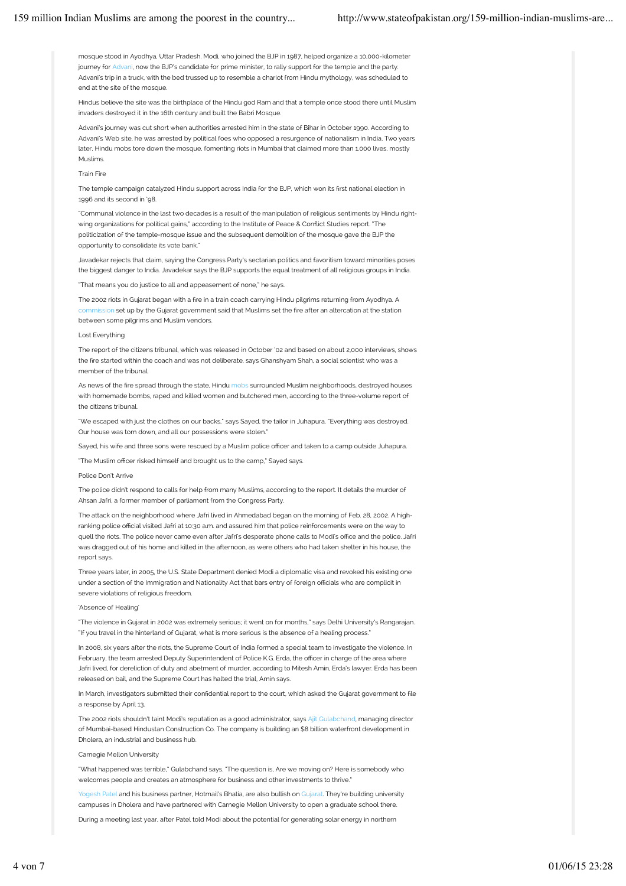mosque stood in Ayodhya, Uttar Pradesh. Modi, who joined the BJP in 1987, helped organize a 10,000-kilometer journey for Advani, now the BJP's candidate for prime minister, to rally support for the temple and the party. Advani's trip in a truck, with the bed trussed up to resemble a chariot from Hindu mythology, was scheduled to end at the site of the mosque

Hindus believe the site was the birthplace of the Hindu god Ram and that a temple once stood there until Muslim invaders destroyed it in the 16th century and built the Babri Mosque.

Advani's journey was cut short when authorities arrested him in the state of Bihar in October 1990. According to Advani's Web site, he was arrested by political foes who opposed a resurgence of nationalism in India. Two years later, Hindu mobs tore down the mosque, fomenting riots in Mumbai that claimed more than 1,000 lives, mostly Muslims.

## Train Fire

The temple campaign catalyzed Hindu support across India for the BJP, which won its frst national election in 1996 and its second in '98.

"Communal violence in the last two decades is a result of the manipulation of religious sentiments by Hindu rightwing organizations for political gains," according to the Institute of Peace & Confict Studies report. "The politicization of the temple-mosque issue and the subsequent demolition of the mosque gave the BJP the opportunity to consolidate its vote bank."

Javadekar rejects that claim, saying the Congress Party's sectarian politics and favoritism toward minorities poses the biggest danger to India. Javadekar says the BJP supports the equal treatment of all religious groups in India.

"That means you do justice to all and appeasement of none," he says.

The 2002 riots in Gujarat began with a fre in a train coach carrying Hindu pilgrims returning from Ayodhya. A commission set up by the Gujarat government said that Muslims set the fre after an altercation at the station between some pilgrims and Muslim vendors.

## Lost Everything

The report of the citizens tribunal, which was released in October '02 and based on about 2,000 interviews, shows the fre started within the coach and was not deliberate, says Ghanshyam Shah, a social scientist who was a member of the tribunal

As news of the fire spread through the state, Hindu mobs surrounded Muslim neighborhoods, destroyed houses with homemade bombs, raped and killed women and butchered men, according to the three-volume report of the citizens tribunal.

"We escaped with just the clothes on our backs," says Sayed, the tailor in Juhapura. "Everything was destroyed. Our house was torn down, and all our possessions were stolen."

Sayed, his wife and three sons were rescued by a Muslim police officer and taken to a camp outside Juhapura.

"The Muslim officer risked himself and brought us to the camp," Sayed says.

## Police Don't Arrive

The police didn't respond to calls for help from many Muslims, according to the report. It details the murder of Ahsan Jafri, a former member of parliament from the Congress Party.

The attack on the neighborhood where Jafri lived in Ahmedabad began on the morning of Feb. 28, 2002. A highranking police official visited Jafri at 10:30 a.m. and assured him that police reinforcements were on the way to quell the riots. The police never came even after Jafri's desperate phone calls to Modi's office and the police. Jafri was dragged out of his home and killed in the afternoon, as were others who had taken shelter in his house, the report says.

Three years later, in 2005, the U.S. State Department denied Modi a diplomatic visa and revoked his existing one under a section of the Immigration and Nationality Act that bars entry of foreign officials who are complicit in severe violations of religious freedom.

# 'Absence of Healing'

"The violence in Gujarat in 2002 was extremely serious; it went on for months," says Delhi University's Rangarajan. "If you travel in the hinterland of Gujarat, what is more serious is the absence of a healing process."

In 2008, six years after the riots, the Supreme Court of India formed a special team to investigate the violence. In February, the team arrested Deputy Superintendent of Police K.G. Erda, the officer in charge of the area where Jafri lived, for dereliction of duty and abetment of murder, according to Mitesh Amin, Erda's lawyer. Erda has been released on bail, and the Supreme Court has halted the trial, Amin says.

In March, investigators submitted their confdential report to the court, which asked the Gujarat government to fle a response by April 13.

The 2002 riots shouldn't taint Modi's reputation as a good administrator, says Ajit Gulabchand, managing director of Mumbai-based Hindustan Construction Co. The company is building an \$8 billion waterfront development in Dholera, an industrial and business hub.

# Carnegie Mellon University

"What happened was terrible," Gulabchand says. "The question is, Are we moving on? Here is somebody who welcomes people and creates an atmosphere for business and other investments to thrive.

Yogesh Patel and his business partner, Hotmail's Bhatia, are also bullish on Gujarat. They're building university campuses in Dholera and have partnered with Carnegie Mellon University to open a graduate school there.

During a meeting last year, after Patel told Modi about the potential for generating solar energy in northern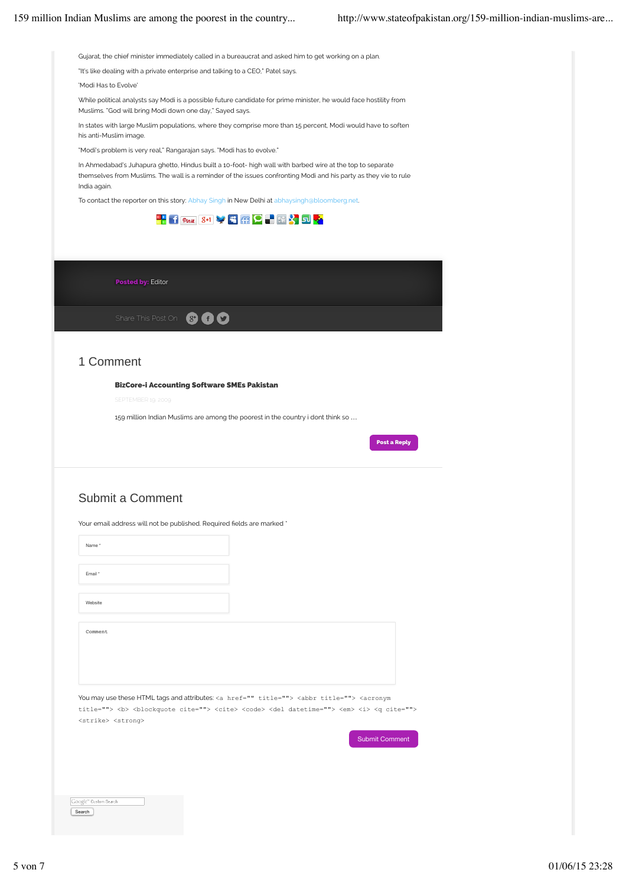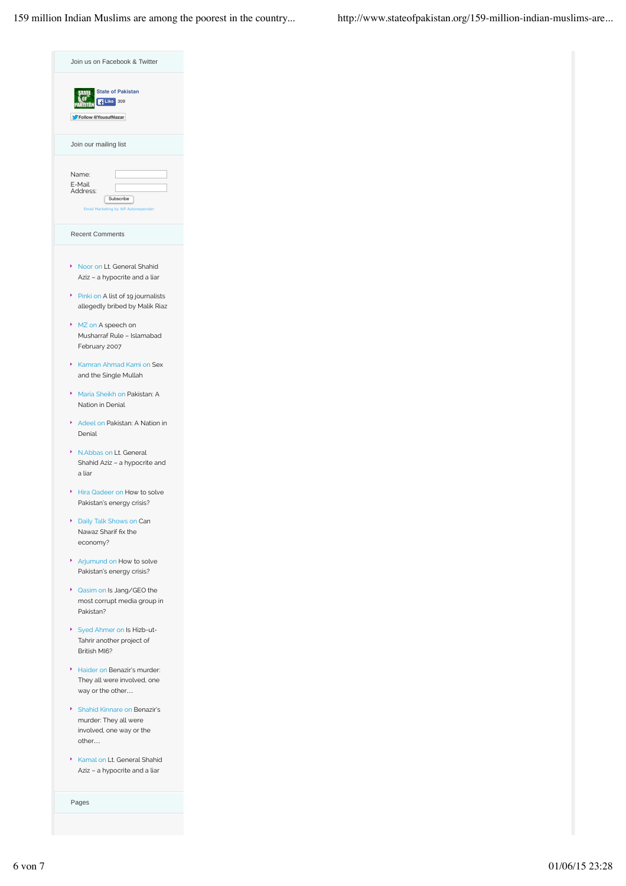| Join us on Facebook & Twitter                                                                  |
|------------------------------------------------------------------------------------------------|
| <b>State of Pakistan</b><br>FLike 309<br>Follow @YousufNazar                                   |
| Join our mailing list                                                                          |
| Name:<br>E-Mail<br>Address:<br>Subscribe<br>Email Marketing by WP Autoresponder                |
| <b>Recent Comments</b>                                                                         |
| k<br>Noor on Lt. General Shahid<br>Aziz - a hypocrite and a liar                               |
| Pinki on A list of 19 journalists<br>allegedly bribed by Malik Riaz                            |
| ×<br>MZ on A speech on<br>Musharraf Rule - Islamabad<br>February 2007                          |
| ¥<br>Kamran Ahmad Kami on Sex<br>and the Single Mullah                                         |
| ¥<br>Maria Sheikh on Pakistan: A<br>Nation in Denial                                           |
| k<br>Adeel on Pakistan: A Nation in<br>Denial                                                  |
| ¥<br>N.Abbas on Lt. General<br>Shahid Aziz - a hypocrite and<br>a liar                         |
| Hira Qadeer on How to solve<br>Pakistan's energy crisis?                                       |
| ۶<br>Daily Talk Shows on Can<br>Nawaz Sharif fix the<br>economy?                               |
| k<br>Arjumund on How to solve<br>Pakistan's energy crisis?                                     |
| k<br>Qasim on Is Jang/GEO the<br>most corrupt media group in<br>Pakistan?                      |
| Þ<br>Syed Ahmer on Is Hizb-ut-<br>Tahrir another project of<br>British MI6?                    |
| k<br>Haider on Benazir's murder:<br>They all were involved, one<br>way or the other            |
| ¥<br>Shahid Kinnare on Benazir's<br>murder: They all were<br>involved, one way or the<br>other |
| Þ.<br>Kamal on Lt. General Shahid<br>Aziz - a hypocrite and a liar                             |

Pages